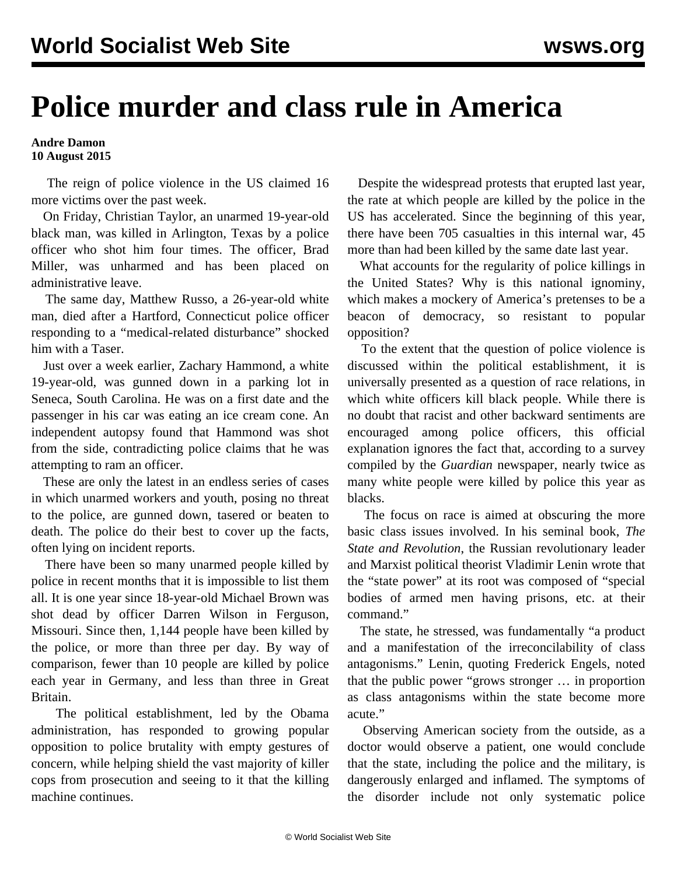## **Police murder and class rule in America**

## **Andre Damon 10 August 2015**

 The reign of police violence in the US claimed 16 more victims over the past week.

 On Friday, Christian Taylor, an unarmed 19-year-old black man, was killed in Arlington, Texas by a police officer who shot him four times. The officer, Brad Miller, was unharmed and has been placed on administrative leave.

 The same day, Matthew Russo, a 26-year-old white man, died after a Hartford, Connecticut police officer responding to a "medical-related disturbance" shocked him with a Taser.

 Just over a week earlier, Zachary Hammond, a white 19-year-old, was gunned down in a parking lot in Seneca, South Carolina. He was on a first date and the passenger in his car was eating an ice cream cone. An independent autopsy found that Hammond was shot from the side, contradicting police claims that he was attempting to ram an officer.

 These are only the latest in an endless series of cases in which unarmed workers and youth, posing no threat to the police, are gunned down, tasered or beaten to death. The police do their best to cover up the facts, often lying on incident reports.

 There have been so many unarmed people killed by police in recent months that it is impossible to list them all. It is one year since 18-year-old Michael Brown was shot dead by officer Darren Wilson in Ferguson, Missouri. Since then, 1,144 people have been killed by the police, or more than three per day. By way of comparison, fewer than 10 people are killed by police each year in Germany, and less than three in Great Britain.

 The political establishment, led by the Obama administration, has responded to growing popular opposition to police brutality with empty gestures of concern, while helping shield the vast majority of killer cops from prosecution and seeing to it that the killing machine continues.

 Despite the widespread protests that erupted last year, the rate at which people are killed by the police in the US has accelerated. Since the beginning of this year, there have been 705 casualties in this internal war, 45 more than had been killed by the same date last year.

 What accounts for the regularity of police killings in the United States? Why is this national ignominy, which makes a mockery of America's pretenses to be a beacon of democracy, so resistant to popular opposition?

 To the extent that the question of police violence is discussed within the political establishment, it is universally presented as a question of race relations, in which white officers kill black people. While there is no doubt that racist and other backward sentiments are encouraged among police officers, this official explanation ignores the fact that, according to a survey compiled by the *Guardian* newspaper, nearly twice as many white people were killed by police this year as blacks.

 The focus on race is aimed at obscuring the more basic class issues involved. In his seminal book, *The State and Revolution*, the Russian revolutionary leader and Marxist political theorist Vladimir Lenin wrote that the "state power" at its root was composed of "special bodies of armed men having prisons, etc. at their command."

 The state, he stressed, was fundamentally "a product and a manifestation of the irreconcilability of class antagonisms." Lenin, quoting Frederick Engels, noted that the public power "grows stronger … in proportion as class antagonisms within the state become more acute."

 Observing American society from the outside, as a doctor would observe a patient, one would conclude that the state, including the police and the military, is dangerously enlarged and inflamed. The symptoms of the disorder include not only systematic police